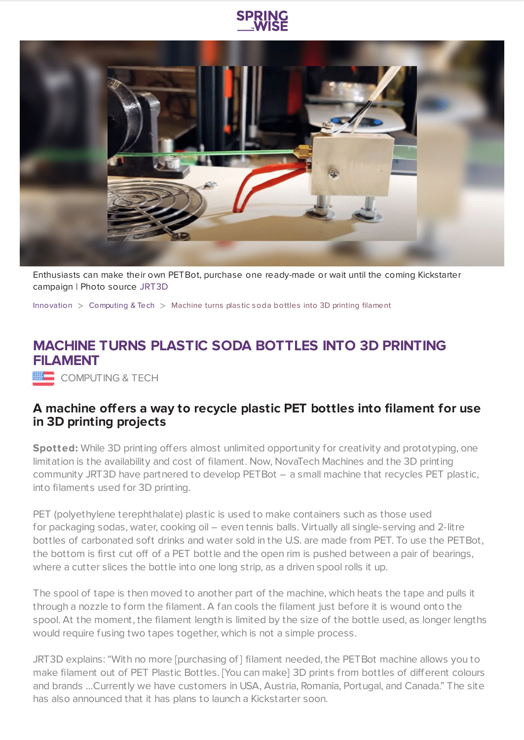



Enthusiasts can make their own PETBot, purchase one ready-made or wait until the coming Kickstarter campaign | Photo source [JRT3D](https://www.youtube.com/watch?v=7jUVNTdU0XE)

[Innovation](https://www.springwise.com/search?type=innovation)  $>$  [Computing](https://www.springwise.com/search?type=innovation§or=computing) & Tech  $>$  Machine turns plastic soda bottles into 3D printing filament

## **MACHINE TURNS PLASTIC SODA BOTTLES INTO 3D PRINTING FILAMENT**

COMPUTING & TECH

## **A machine offers a way to recycle plastic PET bottles into filament for use in 3D printing projects**

**Spotted:** While 3D printing offers almost unlimited opportunity for creativity and prototyping, one limitation is the availability and cost of filament. Now, NovaTech Machines and the 3D printing community JRT3D have partnered to develop PETBot – a small machine that recycles PET plastic, into filaments used for 3D printing.

PET (polyethylene terephthalate) plastic is used to make containers such as those used for packaging sodas, water, cooking oil – even tennis balls. Virtually all single-serving and 2-litre bottles of carbonated soft drinks and water sold in the U.S. are made from PET. To use the PETBot, the bottom is first cut off of a PET bottle and the open rim is pushed between a pair of bearings, where a cutter slices the bottle into one long strip, as a driven spool rolls it up.

The spool of tape is then moved to another part of the machine, which heats the tape and pulls it through a nozzle to form the filament. A fan cools the filament just before it is wound onto the spool. At the moment, the filament length is limited by the size of the bottle used, as longer lengths would require fusing two tapes together, which is not a simple process.

JRT3D explains: "With no more [purchasing of] filament needed, the PETBot machine allows you to make filament out of PET Plastic Bottles. [You can make] 3D prints from bottles of different colours and brands …Currently we have customers in USA, Austria, Romania, Portugal, and Canada." The site has also announced that it has plans to launch a Kickstarter soon.